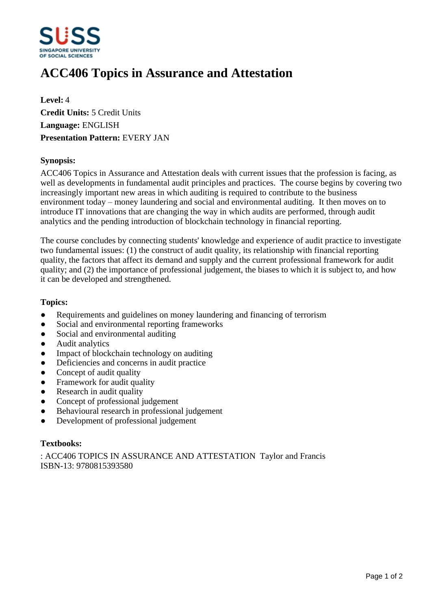

# **ACC406 Topics in Assurance and Attestation**

**Level:** 4 **Credit Units:** 5 Credit Units **Language:** ENGLISH **Presentation Pattern:** EVERY JAN

### **Synopsis:**

ACC406 Topics in Assurance and Attestation deals with current issues that the profession is facing, as well as developments in fundamental audit principles and practices. The course begins by covering two increasingly important new areas in which auditing is required to contribute to the business environment today – money laundering and social and environmental auditing. It then moves on to introduce IT innovations that are changing the way in which audits are performed, through audit analytics and the pending introduction of blockchain technology in financial reporting.

The course concludes by connecting students' knowledge and experience of audit practice to investigate two fundamental issues: (1) the construct of audit quality, its relationship with financial reporting quality, the factors that affect its demand and supply and the current professional framework for audit quality; and (2) the importance of professional judgement, the biases to which it is subject to, and how it can be developed and strengthened.

#### **Topics:**

- Requirements and guidelines on money laundering and financing of terrorism
- Social and environmental reporting frameworks
- Social and environmental auditing
- Audit analytics
- Impact of blockchain technology on auditing
- Deficiencies and concerns in audit practice
- Concept of audit quality
- Framework for audit quality
- Research in audit quality
- Concept of professional judgement
- Behavioural research in professional judgement
- ƔDevelopment of professional judgement

#### **Textbooks:**

: ACC406 TOPICS IN ASSURANCE AND ATTESTATION Taylor and Francis ISBN-13: 9780815393580